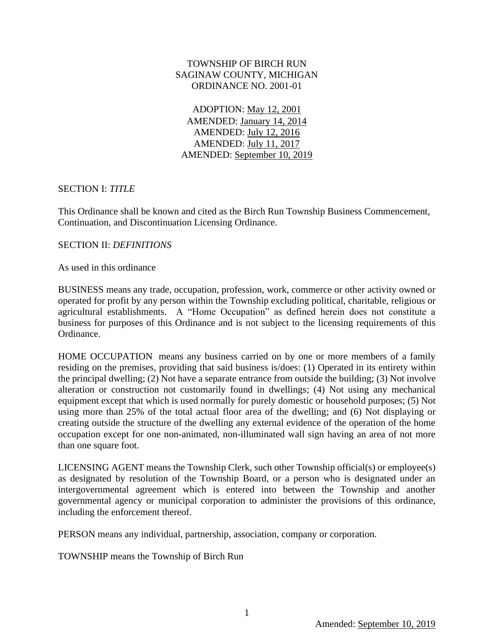### TOWNSHIP OF BIRCH RUN SAGINAW COUNTY, MICHIGAN ORDINANCE NO. 2001-01

ADOPTION: May 12, 2001 AMENDED: January 14, 2014 AMENDED: July 12, 2016 AMENDED: July 11, 2017 AMENDED: September 10, 2019

### SECTION I: *TITLE*

This Ordinance shall be known and cited as the Birch Run Township Business Commencement, Continuation, and Discontinuation Licensing Ordinance.

### SECTION II: *DEFINITIONS*

As used in this ordinance

BUSINESS means any trade, occupation, profession, work, commerce or other activity owned or operated for profit by any person within the Township excluding political, charitable, religious or agricultural establishments. A "Home Occupation" as defined herein does not constitute a business for purposes of this Ordinance and is not subject to the licensing requirements of this Ordinance.

HOME OCCUPATION means any business carried on by one or more members of a family residing on the premises, providing that said business is/does: (1) Operated in its entirety within the principal dwelling; (2) Not have a separate entrance from outside the building; (3) Not involve alteration or construction not customarily found in dwellings; (4) Not using any mechanical equipment except that which is used normally for purely domestic or household purposes; (5) Not using more than 25% of the total actual floor area of the dwelling; and (6) Not displaying or creating outside the structure of the dwelling any external evidence of the operation of the home occupation except for one non-animated, non-illuminated wall sign having an area of not more than one square foot.

LICENSING AGENT means the Township Clerk, such other Township official(s) or employee(s) as designated by resolution of the Township Board, or a person who is designated under an intergovernmental agreement which is entered into between the Township and another governmental agency or municipal corporation to administer the provisions of this ordinance, including the enforcement thereof.

PERSON means any individual, partnership, association, company or corporation.

TOWNSHIP means the Township of Birch Run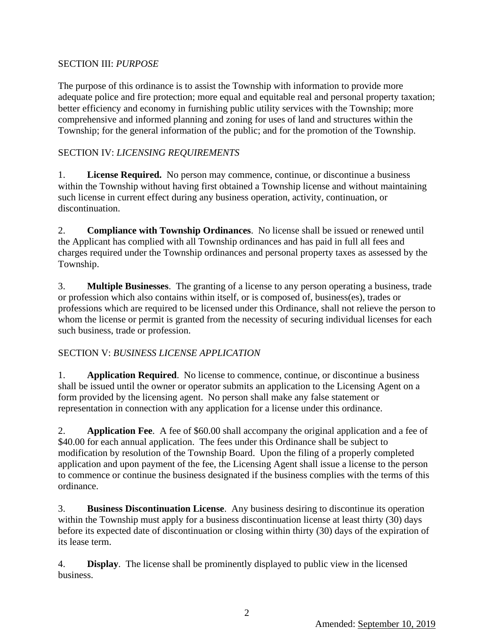## SECTION III: *PURPOSE*

The purpose of this ordinance is to assist the Township with information to provide more adequate police and fire protection; more equal and equitable real and personal property taxation; better efficiency and economy in furnishing public utility services with the Township; more comprehensive and informed planning and zoning for uses of land and structures within the Township; for the general information of the public; and for the promotion of the Township.

# SECTION IV: *LICENSING REQUIREMENTS*

1. **License Required.** No person may commence, continue, or discontinue a business within the Township without having first obtained a Township license and without maintaining such license in current effect during any business operation, activity, continuation, or discontinuation.

2. **Compliance with Township Ordinances**. No license shall be issued or renewed until the Applicant has complied with all Township ordinances and has paid in full all fees and charges required under the Township ordinances and personal property taxes as assessed by the Township.

3. **Multiple Businesses**. The granting of a license to any person operating a business, trade or profession which also contains within itself, or is composed of, business(es), trades or professions which are required to be licensed under this Ordinance, shall not relieve the person to whom the license or permit is granted from the necessity of securing individual licenses for each such business, trade or profession.

## SECTION V: *BUSINESS LICENSE APPLICATION*

1. **Application Required**. No license to commence, continue, or discontinue a business shall be issued until the owner or operator submits an application to the Licensing Agent on a form provided by the licensing agent. No person shall make any false statement or representation in connection with any application for a license under this ordinance.

2. **Application Fee**. A fee of \$60.00 shall accompany the original application and a fee of \$40.00 for each annual application. The fees under this Ordinance shall be subject to modification by resolution of the Township Board. Upon the filing of a properly completed application and upon payment of the fee, the Licensing Agent shall issue a license to the person to commence or continue the business designated if the business complies with the terms of this ordinance.

3. **Business Discontinuation License**. Any business desiring to discontinue its operation within the Township must apply for a business discontinuation license at least thirty (30) days before its expected date of discontinuation or closing within thirty (30) days of the expiration of its lease term.

4. **Display**. The license shall be prominently displayed to public view in the licensed business.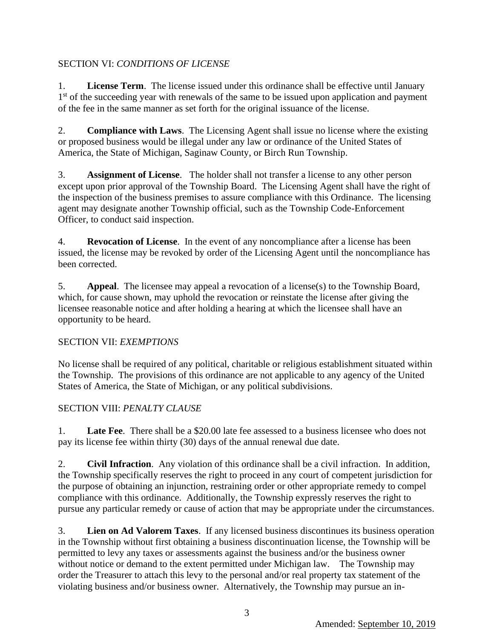# SECTION VI: *CONDITIONS OF LICENSE*

1. **License Term**. The license issued under this ordinance shall be effective until January 1<sup>st</sup> of the succeeding year with renewals of the same to be issued upon application and payment of the fee in the same manner as set forth for the original issuance of the license.

2. **Compliance with Laws**. The Licensing Agent shall issue no license where the existing or proposed business would be illegal under any law or ordinance of the United States of America, the State of Michigan, Saginaw County, or Birch Run Township.

3. **Assignment of License**. The holder shall not transfer a license to any other person except upon prior approval of the Township Board. The Licensing Agent shall have the right of the inspection of the business premises to assure compliance with this Ordinance. The licensing agent may designate another Township official, such as the Township Code-Enforcement Officer, to conduct said inspection.

4. **Revocation of License**. In the event of any noncompliance after a license has been issued, the license may be revoked by order of the Licensing Agent until the noncompliance has been corrected.

5. **Appeal**. The licensee may appeal a revocation of a license(s) to the Township Board, which, for cause shown, may uphold the revocation or reinstate the license after giving the licensee reasonable notice and after holding a hearing at which the licensee shall have an opportunity to be heard.

## SECTION VII: *EXEMPTIONS*

No license shall be required of any political, charitable or religious establishment situated within the Township. The provisions of this ordinance are not applicable to any agency of the United States of America, the State of Michigan, or any political subdivisions.

# SECTION VIII: *PENALTY CLAUSE*

1. **Late Fee**. There shall be a \$20.00 late fee assessed to a business licensee who does not pay its license fee within thirty (30) days of the annual renewal due date.

2. **Civil Infraction**. Any violation of this ordinance shall be a civil infraction. In addition, the Township specifically reserves the right to proceed in any court of competent jurisdiction for the purpose of obtaining an injunction, restraining order or other appropriate remedy to compel compliance with this ordinance. Additionally, the Township expressly reserves the right to pursue any particular remedy or cause of action that may be appropriate under the circumstances.

3. **Lien on Ad Valorem Taxes**. If any licensed business discontinues its business operation in the Township without first obtaining a business discontinuation license, the Township will be permitted to levy any taxes or assessments against the business and/or the business owner without notice or demand to the extent permitted under Michigan law. The Township may order the Treasurer to attach this levy to the personal and/or real property tax statement of the violating business and/or business owner. Alternatively, the Township may pursue an in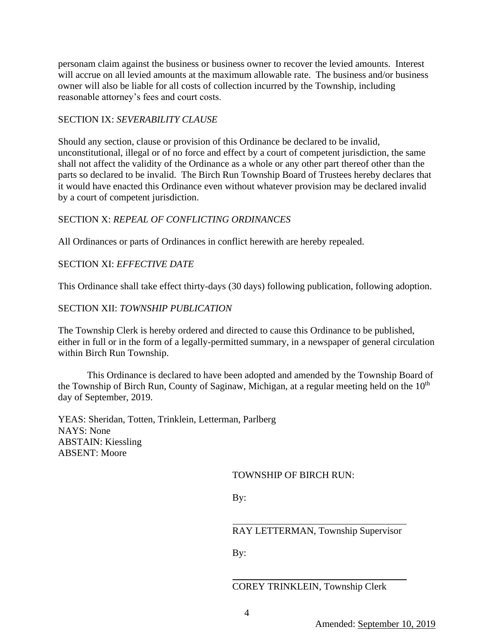personam claim against the business or business owner to recover the levied amounts. Interest will accrue on all levied amounts at the maximum allowable rate. The business and/or business owner will also be liable for all costs of collection incurred by the Township, including reasonable attorney's fees and court costs.

### SECTION IX: *SEVERABILITY CLAUSE*

Should any section, clause or provision of this Ordinance be declared to be invalid, unconstitutional, illegal or of no force and effect by a court of competent jurisdiction, the same shall not affect the validity of the Ordinance as a whole or any other part thereof other than the parts so declared to be invalid. The Birch Run Township Board of Trustees hereby declares that it would have enacted this Ordinance even without whatever provision may be declared invalid by a court of competent jurisdiction.

### SECTION X: *REPEAL OF CONFLICTING ORDINANCES*

All Ordinances or parts of Ordinances in conflict herewith are hereby repealed.

### SECTION XI: *EFFECTIVE DATE*

This Ordinance shall take effect thirty-days (30 days) following publication, following adoption.

#### SECTION XII: *TOWNSHIP PUBLICATION*

The Township Clerk is hereby ordered and directed to cause this Ordinance to be published, either in full or in the form of a legally-permitted summary, in a newspaper of general circulation within Birch Run Township.

This Ordinance is declared to have been adopted and amended by the Township Board of the Township of Birch Run, County of Saginaw, Michigan, at a regular meeting held on the  $10<sup>th</sup>$ day of September, 2019.

YEAS: Sheridan, Totten, Trinklein, Letterman, Parlberg NAYS: None ABSTAIN: Kiessling ABSENT: Moore

#### TOWNSHIP OF BIRCH RUN:

By:

RAY LETTERMAN, Township Supervisor

By:

COREY TRINKLEIN, Township Clerk